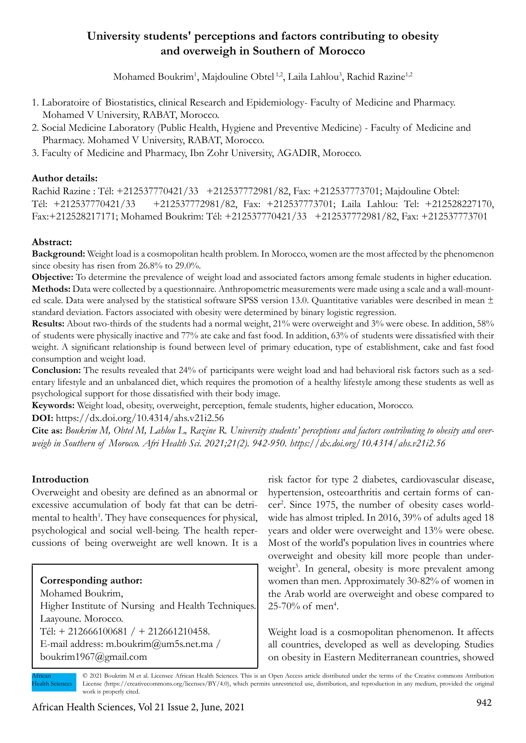# **University students' perceptions and factors contributing to obesity and overweigh in Southern of Morocco**

Mohamed Boukrim<sup>1</sup>, Majdouline Obtel<sup>1,2</sup>, Laila Lahlou<sup>3</sup>, Rachid Razine<sup>1,2</sup>

- 1. Laboratoire of Biostatistics, clinical Research and Epidemiology- Faculty of Medicine and Pharmacy. Mohamed V University, RABAT, Morocco.
- 2. Social Medicine Laboratory (Public Health, Hygiene and Preventive Medicine) Faculty of Medicine and Pharmacy. Mohamed V University, RABAT, Morocco.
- 3. Faculty of Medicine and Pharmacy, Ibn Zohr University, AGADIR, Morocco.

### **Author details:**

Rachid Razine : Tél: +212537770421/33 +212537772981/82, Fax: +212537773701; Majdouline Obtel: Tél: +212537770421/33 +212537772981/82, Fax: +212537773701; Laila Lahlou: Tel: +212528227170, Fax:+212528217171; Mohamed Boukrim: Tél: +212537770421/33 +212537772981/82, Fax: +212537773701

## **Abstract:**

**Background:** Weight load is a cosmopolitan health problem. In Morocco, women are the most affected by the phenomenon since obesity has risen from 26.8% to 29.0%.

**Objective:** To determine the prevalence of weight load and associated factors among female students in higher education. **Methods:** Data were collected by a questionnaire. Anthropometric measurements were made using a scale and a wall-mounted scale. Data were analysed by the statistical software SPSS version 13.0. Quantitative variables were described in mean ± standard deviation. Factors associated with obesity were determined by binary logistic regression.

**Results:** About two-thirds of the students had a normal weight, 21% were overweight and 3% were obese. In addition, 58% of students were physically inactive and 77% ate cake and fast food. In addition, 63% of students were dissatisfied with their weight. A significant relationship is found between level of primary education, type of establishment, cake and fast food consumption and weight load.

**Conclusion:** The results revealed that 24% of participants were weight load and had behavioral risk factors such as a sedentary lifestyle and an unbalanced diet, which requires the promotion of a healthy lifestyle among these students as well as psychological support for those dissatisfied with their body image.

**Keywords:** Weight load, obesity, overweight, perception, female students, higher education, Morocco.

**DOI:** https://dx.doi.org/10.4314/ahs.v21i2.56

**Cite as:** *Boukrim M, Obtel M, Lahlou L, Razine R. University students' perceptions and factors contributing to obesity and overweigh in Southern of Morocco. Afri Health Sci. 2021;21(2). 942-950. https://dx.doi.org/10.4314/ahs.v21i2.56*

# **Introduction**

Overweight and obesity are defined as an abnormal or excessive accumulation of body fat that can be detrimental to health<sup>1</sup>. They have consequences for physical, psychological and social well-being. The health repercussions of being overweight are well known. It is a

### **Corresponding author:**

Mohamed Boukrim, Higher Institute of Nursing and Health Techniques. Laayoune. Morocco. Tél: + 212666100681 / + 212661210458. E-mail address: m.boukrim@um5s.net.ma / boukrim1967@gmail.com

risk factor for type 2 diabetes, cardiovascular disease, hypertension, osteoarthritis and certain forms of cancer<sup>2</sup>. Since 1975, the number of obesity cases worldwide has almost tripled. In 2016, 39% of adults aged 18 years and older were overweight and 13% were obese. Most of the world's population lives in countries where overweight and obesity kill more people than underweight<sup>3</sup>. In general, obesity is more prevalent among women than men. Approximately 30-82% of women in the Arab world are overweight and obese compared to  $25 - 70\%$  of men<sup>4</sup>.

Weight load is a cosmopolitan phenomenon. It affects all countries, developed as well as developing. Studies on obesity in Eastern Mediterranean countries, showed

© 2021 Boukrim M et al. Licensee African Health Sciences. This is an Open Access article distributed under the terms of the Creative commons Attribution License (https://creativecommons.org/licenses/BY/4.0), which permits unrestricted use, distribution, and reproduction in any medium, provided the original work is properly cited. African ealth Sciences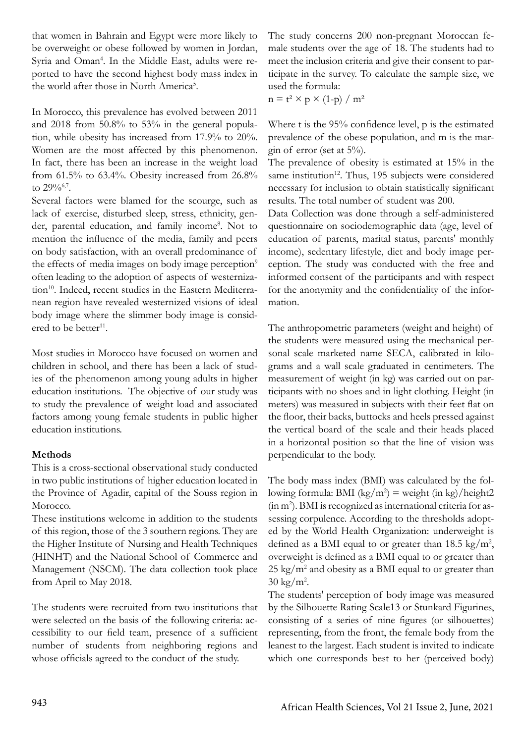that women in Bahrain and Egypt were more likely to be overweight or obese followed by women in Jordan, Syria and Oman<sup>4</sup>. In the Middle East, adults were reported to have the second highest body mass index in the world after those in North America<sup>5</sup>.

In Morocco, this prevalence has evolved between 2011 and 2018 from 50.8% to 53% in the general population, while obesity has increased from 17.9% to 20%. Women are the most affected by this phenomenon. In fact, there has been an increase in the weight load from 61.5% to 63.4%. Obesity increased from 26.8% to 29%6,7.

Several factors were blamed for the scourge, such as lack of exercise, disturbed sleep, stress, ethnicity, gender, parental education, and family income<sup>8</sup>. Not to mention the influence of the media, family and peers on body satisfaction, with an overall predominance of the effects of media images on body image perception<sup>9</sup> often leading to the adoption of aspects of westernization<sup>10</sup>. Indeed, recent studies in the Eastern Mediterranean region have revealed westernized visions of ideal body image where the slimmer body image is considered to be better $^{11}$ .

Most studies in Morocco have focused on women and children in school, and there has been a lack of studies of the phenomenon among young adults in higher education institutions. The objective of our study was to study the prevalence of weight load and associated factors among young female students in public higher education institutions.

### **Methods**

This is a cross-sectional observational study conducted in two public institutions of higher education located in the Province of Agadir, capital of the Souss region in Morocco.

These institutions welcome in addition to the students of this region, those of the 3 southern regions. They are the Higher Institute of Nursing and Health Techniques (HINHT) and the National School of Commerce and Management (NSCM). The data collection took place from April to May 2018.

The students were recruited from two institutions that were selected on the basis of the following criteria: accessibility to our field team, presence of a sufficient number of students from neighboring regions and whose officials agreed to the conduct of the study.

The study concerns 200 non-pregnant Moroccan female students over the age of 18. The students had to meet the inclusion criteria and give their consent to participate in the survey. To calculate the sample size, we used the formula:

 $n = t^2 \times p \times (1-p) / m^2$ 

Where t is the 95% confidence level, p is the estimated prevalence of the obese population, and m is the margin of error (set at 5%).

The prevalence of obesity is estimated at 15% in the same institution<sup>12</sup>. Thus, 195 subjects were considered necessary for inclusion to obtain statistically significant results. The total number of student was 200.

Data Collection was done through a self-administered questionnaire on sociodemographic data (age, level of education of parents, marital status, parents' monthly income), sedentary lifestyle, diet and body image perception. The study was conducted with the free and informed consent of the participants and with respect for the anonymity and the confidentiality of the information.

The anthropometric parameters (weight and height) of the students were measured using the mechanical personal scale marketed name SECA, calibrated in kilograms and a wall scale graduated in centimeters. The measurement of weight (in kg) was carried out on participants with no shoes and in light clothing. Height (in meters) was measured in subjects with their feet flat on the floor, their backs, buttocks and heels pressed against the vertical board of the scale and their heads placed in a horizontal position so that the line of vision was perpendicular to the body.

The body mass index (BMI) was calculated by the following formula: BMI  $(kg/m^2)$  = weight (in kg)/height2 (in m2 ). BMI is recognized as international criteria for assessing corpulence. According to the thresholds adopted by the World Health Organization: underweight is defined as a BMI equal to or greater than  $18.5 \text{ kg/m}^2$ , overweight is defined as a BMI equal to or greater than  $25 \text{ kg/m}^2$  and obesity as a BMI equal to or greater than  $30 \text{ kg/m}^2$ .

The students' perception of body image was measured by the Silhouette Rating Scale13 or Stunkard Figurines, consisting of a series of nine figures (or silhouettes) representing, from the front, the female body from the leanest to the largest. Each student is invited to indicate which one corresponds best to her (perceived body)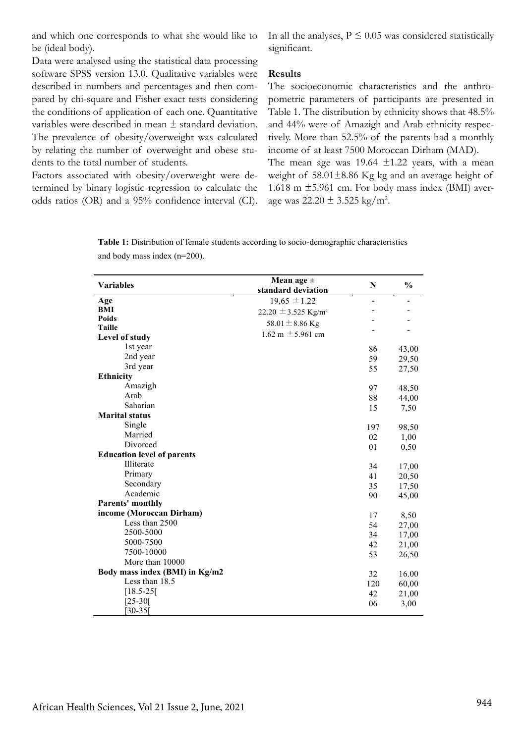and which one corresponds to what she would like to be (ideal body).

In all the analyses,  $P \leq 0.05$  was considered statistically significant.

Data were analysed using the statistical data processing software SPSS version 13.0. Qualitative variables were described in numbers and percentages and then compared by chi-square and Fisher exact tests considering the conditions of application of each one. Quantitative variables were described in mean ± standard deviation. The prevalence of obesity/overweight was calculated by relating the number of overweight and obese students to the total number of students.

Factors associated with obesity/overweight were determined by binary logistic regression to calculate the odds ratios (OR) and a 95% confidence interval (CI).

#### **Results**

The socioeconomic characteristics and the anthropometric parameters of participants are presented in Table 1. The distribution by ethnicity shows that 48.5% and 44% were of Amazigh and Arab ethnicity respectively. More than 52.5% of the parents had a monthly income of at least 7500 Moroccan Dirham (MAD).

The mean age was  $19.64 \pm 1.22$  years, with a mean weight of 58.01±8.86 Kg kg and an average height of 1.618 m  $\pm$ 5.961 cm. For body mass index (BMI) average was  $22.20 \pm 3.525$  kg/m<sup>2</sup>.

**Table 1:** Distribution of female students according to socio-demographic characteristics and body mass index (n=200).

| $\frac{0}{0}$<br><b>Variables</b><br>$\mathbf N$<br>standard deviation<br>$19,65 \pm 1.22$<br>Age<br>L,<br>BMI<br>22.20 $\pm$ 3.525 Kg/m <sup>2</sup><br><b>Poids</b><br>58.01 $\pm$ 8.86 Kg<br><b>Taille</b><br>1.62 m $\pm$ 5.961 cm<br>Level of study<br>1st year<br>86<br>43,00<br>2nd year<br>59<br>29,50<br>3rd year<br>55<br>27,50<br><b>Ethnicity</b><br>Amazigh<br>97<br>48,50<br>Arab<br>88<br>44,00<br>Saharian<br>15<br>7,50<br><b>Marital status</b><br>Single<br>98,50<br>197<br>Married<br>02<br>1,00<br>Divorced<br>01<br>0,50<br><b>Education level of parents</b><br>Illiterate<br>34<br>17,00<br>Primary<br>41<br>20,50<br>Secondary<br>35<br>17,50<br>Academic<br>90<br>45,00<br>Parents' monthly<br>income (Moroccan Dirham)<br>17<br>8,50<br>Less than 2500 |
|-----------------------------------------------------------------------------------------------------------------------------------------------------------------------------------------------------------------------------------------------------------------------------------------------------------------------------------------------------------------------------------------------------------------------------------------------------------------------------------------------------------------------------------------------------------------------------------------------------------------------------------------------------------------------------------------------------------------------------------------------------------------------------------|
|                                                                                                                                                                                                                                                                                                                                                                                                                                                                                                                                                                                                                                                                                                                                                                                   |
|                                                                                                                                                                                                                                                                                                                                                                                                                                                                                                                                                                                                                                                                                                                                                                                   |
|                                                                                                                                                                                                                                                                                                                                                                                                                                                                                                                                                                                                                                                                                                                                                                                   |
|                                                                                                                                                                                                                                                                                                                                                                                                                                                                                                                                                                                                                                                                                                                                                                                   |
|                                                                                                                                                                                                                                                                                                                                                                                                                                                                                                                                                                                                                                                                                                                                                                                   |
|                                                                                                                                                                                                                                                                                                                                                                                                                                                                                                                                                                                                                                                                                                                                                                                   |
|                                                                                                                                                                                                                                                                                                                                                                                                                                                                                                                                                                                                                                                                                                                                                                                   |
|                                                                                                                                                                                                                                                                                                                                                                                                                                                                                                                                                                                                                                                                                                                                                                                   |
|                                                                                                                                                                                                                                                                                                                                                                                                                                                                                                                                                                                                                                                                                                                                                                                   |
|                                                                                                                                                                                                                                                                                                                                                                                                                                                                                                                                                                                                                                                                                                                                                                                   |
|                                                                                                                                                                                                                                                                                                                                                                                                                                                                                                                                                                                                                                                                                                                                                                                   |
|                                                                                                                                                                                                                                                                                                                                                                                                                                                                                                                                                                                                                                                                                                                                                                                   |
|                                                                                                                                                                                                                                                                                                                                                                                                                                                                                                                                                                                                                                                                                                                                                                                   |
|                                                                                                                                                                                                                                                                                                                                                                                                                                                                                                                                                                                                                                                                                                                                                                                   |
|                                                                                                                                                                                                                                                                                                                                                                                                                                                                                                                                                                                                                                                                                                                                                                                   |
|                                                                                                                                                                                                                                                                                                                                                                                                                                                                                                                                                                                                                                                                                                                                                                                   |
|                                                                                                                                                                                                                                                                                                                                                                                                                                                                                                                                                                                                                                                                                                                                                                                   |
|                                                                                                                                                                                                                                                                                                                                                                                                                                                                                                                                                                                                                                                                                                                                                                                   |
|                                                                                                                                                                                                                                                                                                                                                                                                                                                                                                                                                                                                                                                                                                                                                                                   |
|                                                                                                                                                                                                                                                                                                                                                                                                                                                                                                                                                                                                                                                                                                                                                                                   |
|                                                                                                                                                                                                                                                                                                                                                                                                                                                                                                                                                                                                                                                                                                                                                                                   |
|                                                                                                                                                                                                                                                                                                                                                                                                                                                                                                                                                                                                                                                                                                                                                                                   |
|                                                                                                                                                                                                                                                                                                                                                                                                                                                                                                                                                                                                                                                                                                                                                                                   |
|                                                                                                                                                                                                                                                                                                                                                                                                                                                                                                                                                                                                                                                                                                                                                                                   |
| 54                                                                                                                                                                                                                                                                                                                                                                                                                                                                                                                                                                                                                                                                                                                                                                                |
| 27,00<br>2500-5000<br>34<br>17,00                                                                                                                                                                                                                                                                                                                                                                                                                                                                                                                                                                                                                                                                                                                                                 |
| 5000-7500<br>42<br>21,00                                                                                                                                                                                                                                                                                                                                                                                                                                                                                                                                                                                                                                                                                                                                                          |
| 7500-10000<br>53<br>26,50                                                                                                                                                                                                                                                                                                                                                                                                                                                                                                                                                                                                                                                                                                                                                         |
| More than 10000                                                                                                                                                                                                                                                                                                                                                                                                                                                                                                                                                                                                                                                                                                                                                                   |
| Body mass index (BMI) in Kg/m2<br>32<br>16.00                                                                                                                                                                                                                                                                                                                                                                                                                                                                                                                                                                                                                                                                                                                                     |
| Less than 18.5                                                                                                                                                                                                                                                                                                                                                                                                                                                                                                                                                                                                                                                                                                                                                                    |
| 120<br>60,00<br>$[18.5 - 25]$                                                                                                                                                                                                                                                                                                                                                                                                                                                                                                                                                                                                                                                                                                                                                     |
| 42<br>21,00<br>$[25-30]$                                                                                                                                                                                                                                                                                                                                                                                                                                                                                                                                                                                                                                                                                                                                                          |
| 06<br>3,00<br>$[30-35]$                                                                                                                                                                                                                                                                                                                                                                                                                                                                                                                                                                                                                                                                                                                                                           |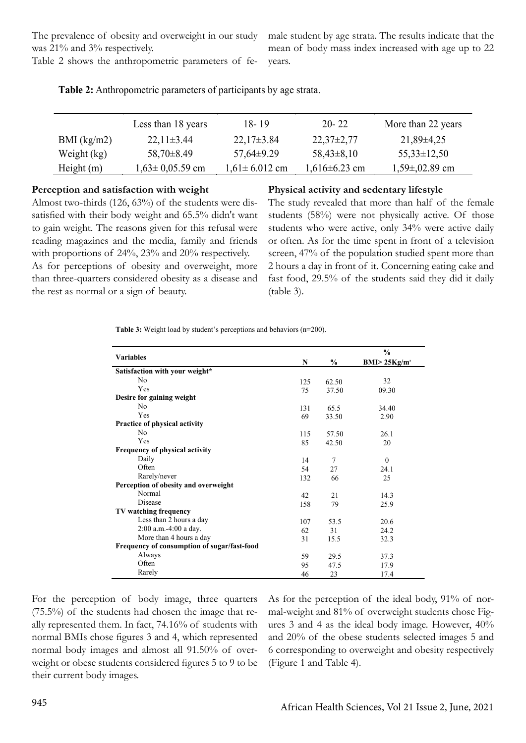The prevalence of obesity and overweight in our study was 21% and 3% respectively.

Table 2 shows the anthropometric parameters of fe-

male student by age strata. The results indicate that the mean of body mass index increased with age up to 22 years.

|               | Less than 18 years    | $18 - 19$           | $20 - 22$           | More than 22 years |
|---------------|-----------------------|---------------------|---------------------|--------------------|
| $BMI$ (kg/m2) | $22.11 \pm 3.44$      | $22.17\pm3.84$      | $22,37\pm2,77$      | $21,89\pm4,25$     |
| Weight (kg)   | $58,70\pm8.49$        | $57,64\pm9.29$      | $58,43\pm8,10$      | $55,33\pm 12,50$   |
| Height $(m)$  | $1,63 \pm 0,05.59$ cm | $1,61 \pm 6.012$ cm | $1,616 \pm 6.23$ cm | $1,59\pm,02.89$ cm |

**Table 2:** Anthropometric parameters of participants by age strata.

#### **Perception and satisfaction with weight**

**Physical activity and sedentary lifestyle**

Almost two-thirds (126, 63%) of the students were dissatisfied with their body weight and 65.5% didn't want to gain weight. The reasons given for this refusal were reading magazines and the media, family and friends with proportions of 24%, 23% and 20% respectively. As for perceptions of obesity and overweight, more than three-quarters considered obesity as a disease and the rest as normal or a sign of beauty.

The study revealed that more than half of the female students (58%) were not physically active. Of those students who were active, only 34% were active daily or often. As for the time spent in front of a television screen, 47% of the population studied spent more than 2 hours a day in front of it. Concerning eating cake and fast food, 29.5% of the students said they did it daily (table 3).

**Table 3:** Weight load by student's perceptions and behaviors (n=200).

|                                             |     |                | $\frac{0}{0}$             |
|---------------------------------------------|-----|----------------|---------------------------|
| <b>Variables</b>                            | N   | $\%$           | BMI > 25Kg/m <sup>2</sup> |
| Satisfaction with your weight*              |     |                |                           |
| No                                          | 125 | 62.50          | 32                        |
| Yes                                         | 75  | 37.50          | 09.30                     |
| Desire for gaining weight                   |     |                |                           |
| N <sub>0</sub>                              | 131 | 65.5           | 34.40                     |
| Yes                                         | 69  | 33.50          | 2.90                      |
| Practice of physical activity               |     |                |                           |
| N <sub>0</sub>                              | 115 | 57.50          | 26.1                      |
| Yes                                         | 85  | 42.50          | 20                        |
| Frequency of physical activity              |     |                |                           |
| Daily                                       | 14  | $\overline{7}$ | $\Omega$                  |
| Often                                       | 54  | 27             | 24.1                      |
| Rarely/never                                | 132 | 66             | 25                        |
| Perception of obesity and overweight        |     |                |                           |
| Normal                                      | 42  | 21             | 14.3                      |
| <b>Disease</b>                              | 158 | 79             | 25.9                      |
| TV watching frequency                       |     |                |                           |
| Less than 2 hours a day                     | 107 | 53.5           | 20.6                      |
| $2:00$ a.m.-4:00 a day.                     | 62  | 31             | 24.2                      |
| More than 4 hours a day                     | 31  | 15.5           | 32.3                      |
| Frequency of consumption of sugar/fast-food |     |                |                           |
| Always                                      | 59  | 29.5           | 37.3                      |
| Often                                       | 95  | 47.5           | 17.9                      |
| Rarely                                      | 46  | 23             | 17.4                      |

For the perception of body image, three quarters (75.5%) of the students had chosen the image that really represented them. In fact, 74.16% of students with normal BMIs chose figures 3 and 4, which represented normal body images and almost all 91.50% of overweight or obese students considered figures 5 to 9 to be their current body images.

As for the perception of the ideal body, 91% of normal-weight and 81% of overweight students chose Figures 3 and 4 as the ideal body image. However, 40% and 20% of the obese students selected images 5 and 6 corresponding to overweight and obesity respectively (Figure 1 and Table 4).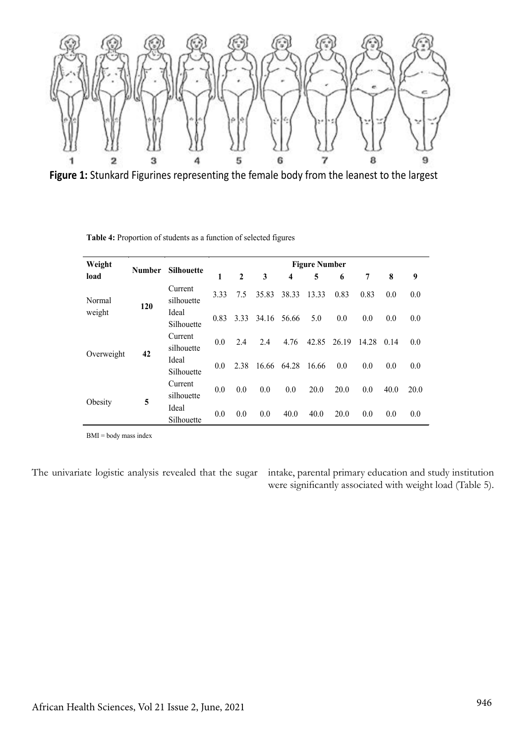

**Figure 1:** Stunkard Figurines representing the female body from the leanest to the largest

| Weight           | <b>Number</b> | Silhouette            | <b>Figure Number</b> |              |       |       |       |       |       |      |      |
|------------------|---------------|-----------------------|----------------------|--------------|-------|-------|-------|-------|-------|------|------|
| load             |               |                       | 1                    | $\mathbf{2}$ | 3     | 4     | 5     | 6     | 7     | 8    | 9    |
| Normal<br>weight | 120           | Current<br>silhouette | 3.33                 | 7.5          | 35.83 | 38.33 | 13.33 | 0.83  | 0.83  | 0.0  | 0.0  |
|                  |               | Ideal<br>Silhouette   | 0.83                 | 3.33         | 34.16 | 56.66 | 5.0   | 0.0   | 0.0   | 0.0  | 0.0  |
| Overweight       | 42            | Current<br>silhouette | 0.0                  | 2.4          | 2.4   | 4.76  | 42.85 | 26.19 | 14.28 | 0.14 | 0.0  |
|                  |               | Ideal<br>Silhouette   | 0.0                  | 2.38         | 16.66 | 64.28 | 16.66 | 0.0   | 0.0   | 0.0  | 0.0  |
| Obesity          | 5             | Current<br>silhouette | 0.0                  | 0.0          | 0.0   | 0.0   | 20.0  | 20.0  | 0.0   | 40.0 | 20.0 |
|                  |               | Ideal<br>Silhouette   | 0.0                  | 0.0          | 0.0   | 40.0  | 40.0  | 20.0  | 0.0   | 0.0  | 0.0  |

**Table 4:** Proportion of students as a function of selected figures

BMI = body mass index

The univariate logistic analysis revealed that the sugar intake, parental primary education and study institution were significantly associated with weight load (Table 5).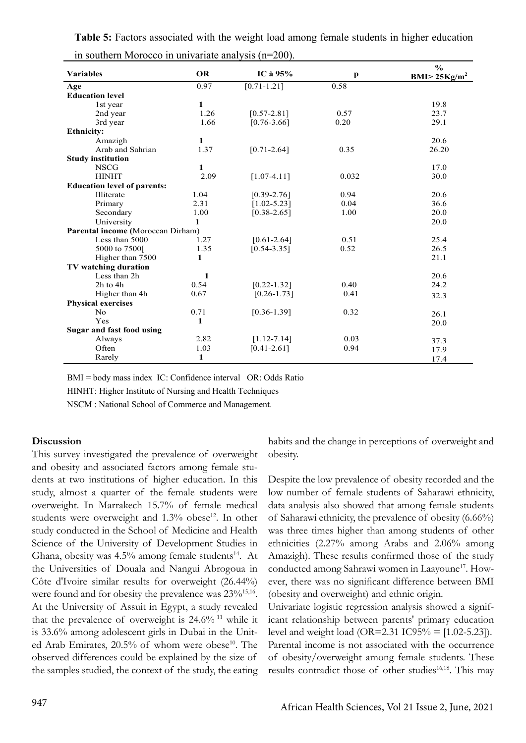| $\frac{1}{2}$<br><b>Variables</b>  | <b>OR</b>    | IC à $95%$      | $\mathbf{p}$ | $\frac{6}{6}$<br>BMI > 25Kg/m <sup>2</sup> |
|------------------------------------|--------------|-----------------|--------------|--------------------------------------------|
| Age                                | 0.97         | $[0.71 - 1.21]$ | 0.58         |                                            |
| <b>Education level</b>             |              |                 |              |                                            |
| 1st year                           | 1            |                 |              | 19.8                                       |
| 2nd year                           | 1.26         | $[0.57 - 2.81]$ | 0.57         | 23.7                                       |
| 3rd year                           | 1.66         | $[0.76 - 3.66]$ | 0.20         | 29.1                                       |
| <b>Ethnicity:</b>                  |              |                 |              |                                            |
| Amazigh                            | 1            |                 |              | 20.6                                       |
| Arab and Sahrian                   | 1.37         | $[0.71 - 2.64]$ | 0.35         | 26.20                                      |
| <b>Study institution</b>           |              |                 |              |                                            |
| <b>NSCG</b>                        | $\mathbf{1}$ |                 |              | 17.0                                       |
| <b>HINHT</b>                       | 2.09         | $[1.07 - 4.11]$ | 0.032        | 30.0                                       |
| <b>Education level of parents:</b> |              |                 |              |                                            |
| Illiterate                         | 1.04         | $[0.39 - 2.76]$ | 0.94         | 20.6                                       |
| Primary                            | 2.31         | $[1.02 - 5.23]$ | 0.04         | 36.6                                       |
| Secondary                          | 1.00         | $[0.38 - 2.65]$ | 1.00         | 20.0                                       |
| University                         | 1            |                 |              | 20.0                                       |
| Parental income (Moroccan Dirham)  |              |                 |              |                                            |
| Less than 5000                     | 1.27         | $[0.61 - 2.64]$ | 0.51         | 25.4                                       |
| 5000 to 7500[                      | 1.35         | $[0.54 - 3.35]$ | 0.52         | 26.5                                       |
| Higher than 7500                   | 1            |                 |              | 21.1                                       |
| TV watching duration               |              |                 |              |                                            |
| Less than 2h                       | 1            |                 |              | 20.6                                       |
| 2h to 4h                           | 0.54         | $[0.22 - 1.32]$ | 0.40         | 24.2                                       |
| Higher than 4h                     | 0.67         | $[0.26 - 1.73]$ | 0.41         | 32.3                                       |
| <b>Physical exercises</b>          |              |                 |              |                                            |
| N <sub>0</sub>                     | 0.71         | $[0.36 - 1.39]$ | 0.32         | 26.1                                       |
| Yes                                | 1            |                 |              | 20.0                                       |
| Sugar and fast food using          |              |                 |              |                                            |
| Always                             | 2.82         | $[1.12 - 7.14]$ | 0.03         | 37.3                                       |
| Often                              | 1.03         | $[0.41 - 2.61]$ | 0.94         | 17.9                                       |
| Rarely                             | 1            |                 |              | 17.4                                       |

**Table 5:** Factors associated with the weight load among female students in higher education in southern Morocco in univariate analysis (n=200).

BMI = body mass index IC: Confidence interval OR: Odds Ratio

HINHT: Higher Institute of Nursing and Health Techniques

NSCM : National School of Commerce and Management.

#### **Discussion**

This survey investigated the prevalence of overweight and obesity and associated factors among female students at two institutions of higher education. In this study, almost a quarter of the female students were overweight. In Marrakech 15.7% of female medical students were overweight and 1.3% obese<sup>12</sup>. In other study conducted in the School of Medicine and Health Science of the University of Development Studies in Ghana, obesity was  $4.5\%$  among female students<sup>14</sup>. At the Universities of Douala and Nangui Abrogoua in Côte d'Ivoire similar results for overweight (26.44%) were found and for obesity the prevalence was  $23\%^{15,16}$ . At the University of Assuit in Egypt, a study revealed that the prevalence of overweight is 24.6% 11 while it is 33.6% among adolescent girls in Dubai in the United Arab Emirates,  $20.5\%$  of whom were obese<sup>10</sup>. The observed differences could be explained by the size of the samples studied, the context of the study, the eating

habits and the change in perceptions of overweight and obesity.

Despite the low prevalence of obesity recorded and the low number of female students of Saharawi ethnicity, data analysis also showed that among female students of Saharawi ethnicity, the prevalence of obesity (6.66%) was three times higher than among students of other ethnicities (2.27% among Arabs and 2.06% among Amazigh). These results confirmed those of the study conducted among Sahrawi women in Laayoune<sup>17</sup>. However, there was no significant difference between BMI (obesity and overweight) and ethnic origin.

Univariate logistic regression analysis showed a significant relationship between parents' primary education level and weight load (OR=2.31 IC95% =  $[1.02 - 5.23]$ ). Parental income is not associated with the occurrence of obesity/overweight among female students. These results contradict those of other studies<sup>16,18</sup>. This may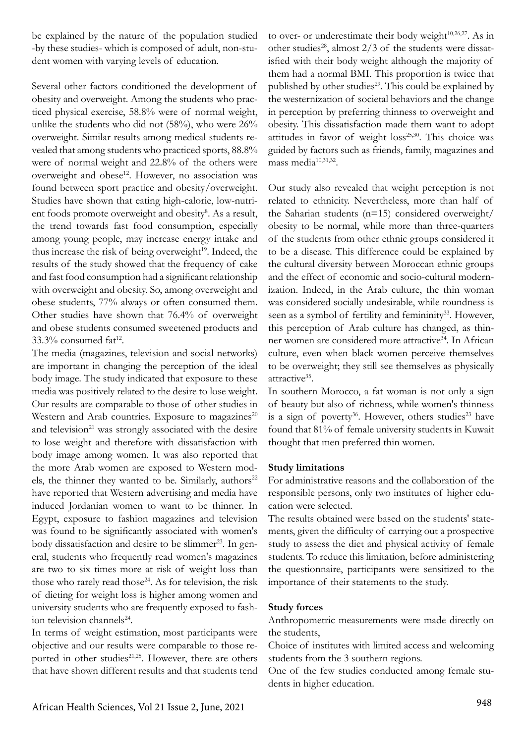be explained by the nature of the population studied -by these studies- which is composed of adult, non-student women with varying levels of education.

Several other factors conditioned the development of obesity and overweight. Among the students who practiced physical exercise, 58.8% were of normal weight, unlike the students who did not (58%), who were 26% overweight. Similar results among medical students revealed that among students who practiced sports, 88.8% were of normal weight and 22.8% of the others were overweight and obese<sup>12</sup>. However, no association was found between sport practice and obesity/overweight. Studies have shown that eating high-calorie, low-nutrient foods promote overweight and obesity<sup>8</sup>. As a result, the trend towards fast food consumption, especially among young people, may increase energy intake and thus increase the risk of being overweight<sup>19</sup>. Indeed, the results of the study showed that the frequency of cake and fast food consumption had a significant relationship with overweight and obesity. So, among overweight and obese students, 77% always or often consumed them. Other studies have shown that 76.4% of overweight and obese students consumed sweetened products and  $33.3\%$  consumed fat<sup>12</sup>.

The media (magazines, television and social networks) are important in changing the perception of the ideal body image. The study indicated that exposure to these media was positively related to the desire to lose weight. Our results are comparable to those of other studies in Western and Arab countries. Exposure to magazines $^{20}$ and television<sup>21</sup> was strongly associated with the desire to lose weight and therefore with dissatisfaction with body image among women. It was also reported that the more Arab women are exposed to Western models, the thinner they wanted to be. Similarly, authors<sup>22</sup> have reported that Western advertising and media have induced Jordanian women to want to be thinner. In Egypt, exposure to fashion magazines and television was found to be significantly associated with women's body dissatisfaction and desire to be slimmer<sup>23</sup>. In general, students who frequently read women's magazines are two to six times more at risk of weight loss than those who rarely read those $24$ . As for television, the risk of dieting for weight loss is higher among women and university students who are frequently exposed to fashion television channels<sup>24</sup>.

In terms of weight estimation, most participants were objective and our results were comparable to those reported in other studies<sup>21,25</sup>. However, there are others that have shown different results and that students tend

to over- or underestimate their body weight $10,26,27$ . As in other studies<sup>28</sup>, almost  $2/3$  of the students were dissatisfied with their body weight although the majority of them had a normal BMI. This proportion is twice that published by other studies<sup>29</sup>. This could be explained by the westernization of societal behaviors and the change in perception by preferring thinness to overweight and obesity. This dissatisfaction made them want to adopt attitudes in favor of weight loss<sup>25,30</sup>. This choice was guided by factors such as friends, family, magazines and mass media<sup>10,31,32</sup>.

Our study also revealed that weight perception is not related to ethnicity. Nevertheless, more than half of the Saharian students (n=15) considered overweight/ obesity to be normal, while more than three-quarters of the students from other ethnic groups considered it to be a disease. This difference could be explained by the cultural diversity between Moroccan ethnic groups and the effect of economic and socio-cultural modernization. Indeed, in the Arab culture, the thin woman was considered socially undesirable, while roundness is seen as a symbol of fertility and femininity<sup>33</sup>. However, this perception of Arab culture has changed, as thinner women are considered more attractive<sup>34</sup>. In African culture, even when black women perceive themselves to be overweight; they still see themselves as physically attractive35.

In southern Morocco, a fat woman is not only a sign of beauty but also of richness, while women's thinness is a sign of poverty<sup>36</sup>. However, others studies<sup>23</sup> have found that 81% of female university students in Kuwait thought that men preferred thin women.

#### **Study limitations**

For administrative reasons and the collaboration of the responsible persons, only two institutes of higher education were selected.

The results obtained were based on the students' statements, given the difficulty of carrying out a prospective study to assess the diet and physical activity of female students. To reduce this limitation, before administering the questionnaire, participants were sensitized to the importance of their statements to the study.

#### **Study forces**

Anthropometric measurements were made directly on the students,

Choice of institutes with limited access and welcoming students from the 3 southern regions.

One of the few studies conducted among female students in higher education.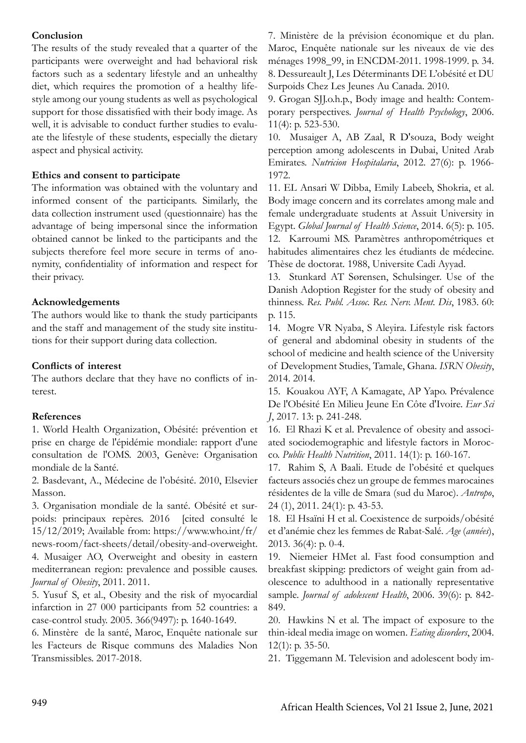### **Conclusion**

The results of the study revealed that a quarter of the participants were overweight and had behavioral risk factors such as a sedentary lifestyle and an unhealthy diet, which requires the promotion of a healthy lifestyle among our young students as well as psychological support for those dissatisfied with their body image. As well, it is advisable to conduct further studies to evaluate the lifestyle of these students, especially the dietary aspect and physical activity.

### **Ethics and consent to participate**

The information was obtained with the voluntary and informed consent of the participants. Similarly, the data collection instrument used (questionnaire) has the advantage of being impersonal since the information obtained cannot be linked to the participants and the subjects therefore feel more secure in terms of anonymity, confidentiality of information and respect for their privacy.

### **Acknowledgements**

The authors would like to thank the study participants and the staff and management of the study site institutions for their support during data collection.

### **Conflicts of interest**

The authors declare that they have no conflicts of interest.

### **References**

1. World Health Organization, Obésité: prévention et prise en charge de l'épidémie mondiale: rapport d'une consultation de l'OMS. 2003, Genève: Organisation mondiale de la Santé.

2. Basdevant, A., Médecine de l'obésité. 2010, Elsevier Masson.

3. Organisation mondiale de la santé. Obésité et surpoids: principaux repères. 2016 [cited consulté le 15/12/2019; Available from: https://www.who.int/fr/ news-room/fact-sheets/detail/obesity-and-overweight. 4. Musaiger AO, Overweight and obesity in eastern mediterranean region: prevalence and possible causes. *Journal of Obesity*, 2011. 2011.

5. Yusuf S, et al., Obesity and the risk of myocardial infarction in 27 000 participants from 52 countries: a case-control study. 2005. 366(9497): p. 1640-1649.

6. Minstère de la santé, Maroc, Enquête nationale sur les Facteurs de Risque communs des Maladies Non Transmissibles. 2017-2018.

7. Ministère de la prévision économique et du plan. Maroc, Enquête nationale sur les niveaux de vie des ménages 1998\_99, in ENCDM-2011. 1998-1999. p. 34. 8. Dessureault J, Les Déterminants DE L'obésité et DU Surpoids Chez Les Jeunes Au Canada. 2010.

9. Grogan SJJ.o.h.p., Body image and health: Contemporary perspectives. *Journal of Health Psychology*, 2006. 11(4): p. 523-530.

10. Musaiger A, AB Zaal, R D'souza, Body weight perception among adolescents in Dubai, United Arab Emirates. *Nutricion Hospitalaria*, 2012. 27(6): p. 1966- 1972.

11. EL Ansari W Dibba, Emily Labeeb, Shokria, et al. Body image concern and its correlates among male and female undergraduate students at Assuit University in Egypt. *Global Journal of Health Science*, 2014. 6(5): p. 105. 12. Karroumi MS. Paramètres anthropométriques et habitudes alimentaires chez les étudiants de médecine. Thèse de doctorat. 1988, Universite Cadi Ayyad.

13. Stunkard AT Sørensen, Schulsinger. Use of the Danish Adoption Register for the study of obesity and thinness. *Res. Publ. Assoc. Res. Nerv. Ment. Dis*, 1983. 60: p. 115.

14. Mogre VR Nyaba, S Aleyira. Lifestyle risk factors of general and abdominal obesity in students of the school of medicine and health science of the University of Development Studies, Tamale, Ghana. *ISRN Obesity*, 2014. 2014.

15. Kouakou AYF, A Kamagate, AP Yapo. Prévalence De l'Obésité En Milieu Jeune En Côte d'Ivoire. *Eur Sci J*, 2017. 13: p. 241-248.

16. El Rhazi K et al. Prevalence of obesity and associated sociodemographic and lifestyle factors in Morocco. *Public Health Nutrition*, 2011. 14(1): p. 160-167.

17. Rahim S, A Baali. Etude de l'obésité et quelques facteurs associés chez un groupe de femmes marocaines résidentes de la ville de Smara (sud du Maroc). *Antropo*, 24 (1), 2011. 24(1): p. 43-53.

18. El Hsaïni H et al. Coexistence de surpoids/obésité et d'anémie chez les femmes de Rabat-Salé. *Age* (*années*), 2013. 36(4): p. 0-4.

19. Niemeier HMet al. Fast food consumption and breakfast skipping: predictors of weight gain from adolescence to adulthood in a nationally representative sample. *Journal of adolescent Health*, 2006. 39(6): p. 842- 849.

20. Hawkins N et al. The impact of exposure to the thin-ideal media image on women. *Eating disorders*, 2004. 12(1): p. 35-50.

21. Tiggemann M. Television and adolescent body im-